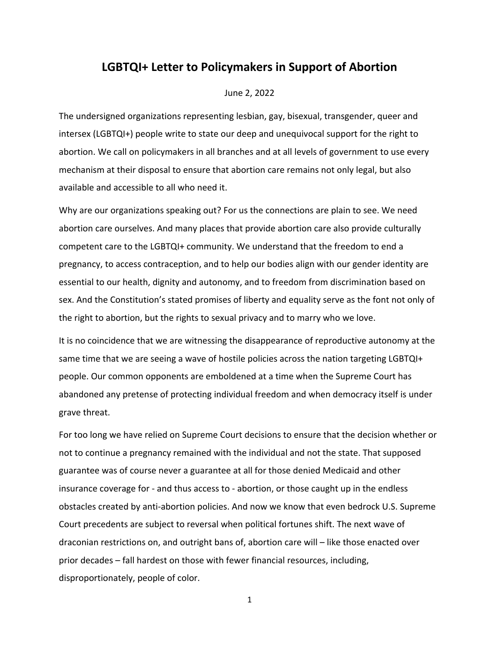## **LGBTQI+ Letter to Policymakers in Support of Abortion**

## June 2, 2022

The undersigned organizations representing lesbian, gay, bisexual, transgender, queer and intersex (LGBTQI+) people write to state our deep and unequivocal support for the right to abortion. We call on policymakers in all branches and at all levels of government to use every mechanism at their disposal to ensure that abortion care remains not only legal, but also available and accessible to all who need it.

Why are our organizations speaking out? For us the connections are plain to see. We need abortion care ourselves. And many places that provide abortion care also provide culturally competent care to the LGBTQI+ community. We understand that the freedom to end a pregnancy, to access contraception, and to help our bodies align with our gender identity are essential to our health, dignity and autonomy, and to freedom from discrimination based on sex. And the Constitution's stated promises of liberty and equality serve as the font not only of the right to abortion, but the rights to sexual privacy and to marry who we love.

It is no coincidence that we are witnessing the disappearance of reproductive autonomy at the same time that we are seeing a wave of hostile policies across the nation targeting LGBTQI+ people. Our common opponents are emboldened at a time when the Supreme Court has abandoned any pretense of protecting individual freedom and when democracy itself is under grave threat.

For too long we have relied on Supreme Court decisions to ensure that the decision whether or not to continue a pregnancy remained with the individual and not the state. That supposed guarantee was of course never a guarantee at all for those denied Medicaid and other insurance coverage for - and thus access to - abortion, or those caught up in the endless obstacles created by anti-abortion policies. And now we know that even bedrock U.S. Supreme Court precedents are subject to reversal when political fortunes shift. The next wave of draconian restrictions on, and outright bans of, abortion care will – like those enacted over prior decades – fall hardest on those with fewer financial resources, including, disproportionately, people of color.

1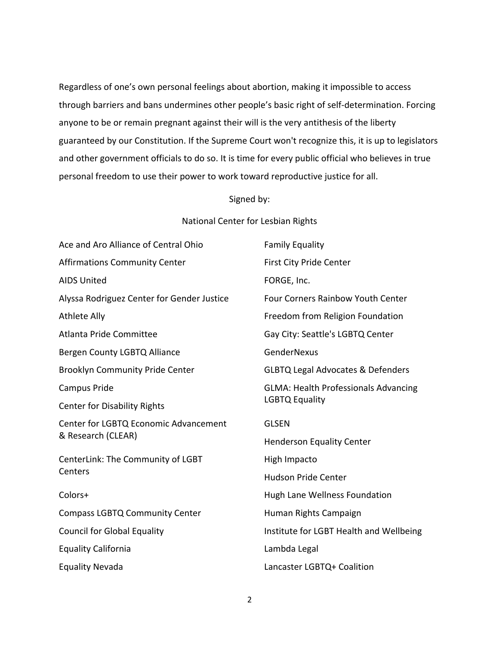Regardless of one's own personal feelings about abortion, making it impossible to access through barriers and bans undermines other people's basic right of self-determination. Forcing anyone to be or remain pregnant against their will is the very antithesis of the liberty guaranteed by our Constitution. If the Supreme Court won't recognize this, it is up to legislators and other government officials to do so. It is time for every public official who believes in true personal freedom to use their power to work toward reproductive justice for all.

## Signed by:

## National Center for Lesbian Rights

| Ace and Aro Alliance of Central Ohio                        | <b>Family Equality</b>                                               |
|-------------------------------------------------------------|----------------------------------------------------------------------|
| <b>Affirmations Community Center</b>                        | <b>First City Pride Center</b>                                       |
| <b>AIDS United</b>                                          | FORGE, Inc.                                                          |
| Alyssa Rodriguez Center for Gender Justice                  | <b>Four Corners Rainbow Youth Center</b>                             |
| <b>Athlete Ally</b>                                         | Freedom from Religion Foundation                                     |
| Atlanta Pride Committee                                     | Gay City: Seattle's LGBTQ Center                                     |
| Bergen County LGBTQ Alliance                                | GenderNexus                                                          |
| <b>Brooklyn Community Pride Center</b>                      | <b>GLBTQ Legal Advocates &amp; Defenders</b>                         |
| Campus Pride                                                | <b>GLMA: Health Professionals Advancing</b><br><b>LGBTQ Equality</b> |
| <b>Center for Disability Rights</b>                         |                                                                      |
| Center for LGBTQ Economic Advancement<br>& Research (CLEAR) | <b>GLSEN</b>                                                         |
|                                                             | <b>Henderson Equality Center</b>                                     |
| CenterLink: The Community of LGBT<br>Centers                | High Impacto                                                         |
|                                                             | <b>Hudson Pride Center</b>                                           |
| Colors+                                                     | Hugh Lane Wellness Foundation                                        |
| <b>Compass LGBTQ Community Center</b>                       | Human Rights Campaign                                                |
| <b>Council for Global Equality</b>                          | Institute for LGBT Health and Wellbeing                              |
| <b>Equality California</b>                                  | Lambda Legal                                                         |
| <b>Equality Nevada</b>                                      | Lancaster LGBTQ+ Coalition                                           |